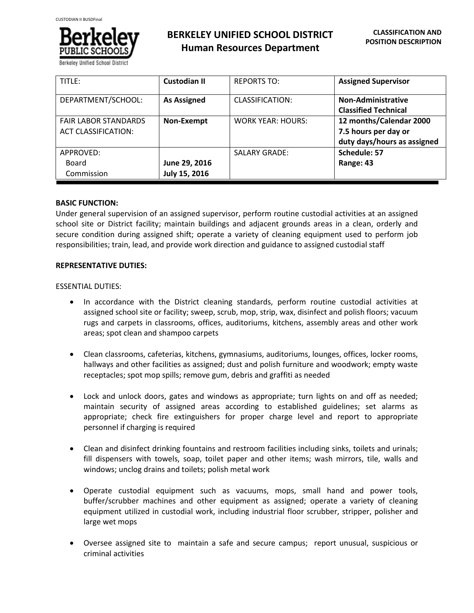

**BERKELEY UNIFIED SCHOOL DISTRICT Human Resources Department**

| TITLE:                                                    | <b>Custodian II</b>            | <b>REPORTS TO:</b>       | <b>Assigned Supervisor</b>                                                     |
|-----------------------------------------------------------|--------------------------------|--------------------------|--------------------------------------------------------------------------------|
| DEPARTMENT/SCHOOL:                                        | <b>As Assigned</b>             | CLASSIFICATION:          | Non-Administrative<br><b>Classified Technical</b>                              |
| <b>FAIR LABOR STANDARDS</b><br><b>ACT CLASSIFICATION:</b> | Non-Exempt                     | <b>WORK YEAR: HOURS:</b> | 12 months/Calendar 2000<br>7.5 hours per day or<br>duty days/hours as assigned |
| APPROVED:<br>Board<br>Commission                          | June 29, 2016<br>July 15, 2016 | <b>SALARY GRADE:</b>     | Schedule: 57<br>Range: 43                                                      |

# **BASIC FUNCTION:**

Under general supervision of an assigned supervisor, perform routine custodial activities at an assigned school site or District facility; maintain buildings and adjacent grounds areas in a clean, orderly and secure condition during assigned shift; operate a variety of cleaning equipment used to perform job responsibilities; train, lead, and provide work direction and guidance to assigned custodial staff

# **REPRESENTATIVE DUTIES:**

ESSENTIAL DUTIES:

- In accordance with the District cleaning standards, perform routine custodial activities at assigned school site or facility; sweep, scrub, mop, strip, wax, disinfect and polish floors; vacuum rugs and carpets in classrooms, offices, auditoriums, kitchens, assembly areas and other work areas; spot clean and shampoo carpets
- Clean classrooms, cafeterias, kitchens, gymnasiums, auditoriums, lounges, offices, locker rooms, hallways and other facilities as assigned; dust and polish furniture and woodwork; empty waste receptacles; spot mop spills; remove gum, debris and graffiti as needed
- Lock and unlock doors, gates and windows as appropriate; turn lights on and off as needed; maintain security of assigned areas according to established guidelines; set alarms as appropriate; check fire extinguishers for proper charge level and report to appropriate personnel if charging is required
- Clean and disinfect drinking fountains and restroom facilities including sinks, toilets and urinals; fill dispensers with towels, soap, toilet paper and other items; wash mirrors, tile, walls and windows; unclog drains and toilets; polish metal work
- Operate custodial equipment such as vacuums, mops, small hand and power tools, buffer/scrubber machines and other equipment as assigned; operate a variety of cleaning equipment utilized in custodial work, including industrial floor scrubber, stripper, polisher and large wet mops
- Oversee assigned site to maintain a safe and secure campus; report unusual, suspicious or criminal activities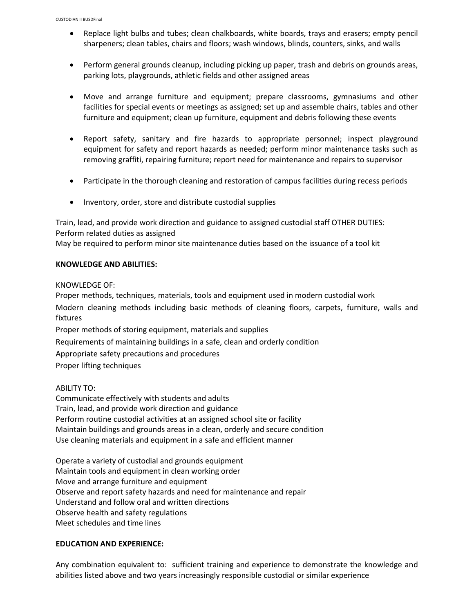- Replace light bulbs and tubes; clean chalkboards, white boards, trays and erasers; empty pencil sharpeners; clean tables, chairs and floors; wash windows, blinds, counters, sinks, and walls
- Perform general grounds cleanup, including picking up paper, trash and debris on grounds areas, parking lots, playgrounds, athletic fields and other assigned areas
- Move and arrange furniture and equipment; prepare classrooms, gymnasiums and other facilities for special events or meetings as assigned; set up and assemble chairs, tables and other furniture and equipment; clean up furniture, equipment and debris following these events
- Report safety, sanitary and fire hazards to appropriate personnel; inspect playground equipment for safety and report hazards as needed; perform minor maintenance tasks such as removing graffiti, repairing furniture; report need for maintenance and repairs to supervisor
- Participate in the thorough cleaning and restoration of campus facilities during recess periods
- Inventory, order, store and distribute custodial supplies

Train, lead, and provide work direction and guidance to assigned custodial staff OTHER DUTIES: Perform related duties as assigned May be required to perform minor site maintenance duties based on the issuance of a tool kit

# **KNOWLEDGE AND ABILITIES:**

KNOWLEDGE OF:

Proper methods, techniques, materials, tools and equipment used in modern custodial work Modern cleaning methods including basic methods of cleaning floors, carpets, furniture, walls and fixtures

Proper methods of storing equipment, materials and supplies

Requirements of maintaining buildings in a safe, clean and orderly condition

Appropriate safety precautions and procedures

Proper lifting techniques

ABILITY TO:

Communicate effectively with students and adults Train, lead, and provide work direction and guidance Perform routine custodial activities at an assigned school site or facility Maintain buildings and grounds areas in a clean, orderly and secure condition Use cleaning materials and equipment in a safe and efficient manner

Operate a variety of custodial and grounds equipment Maintain tools and equipment in clean working order Move and arrange furniture and equipment Observe and report safety hazards and need for maintenance and repair Understand and follow oral and written directions Observe health and safety regulations Meet schedules and time lines

## **EDUCATION AND EXPERIENCE:**

Any combination equivalent to: sufficient training and experience to demonstrate the knowledge and abilities listed above and two years increasingly responsible custodial or similar experience